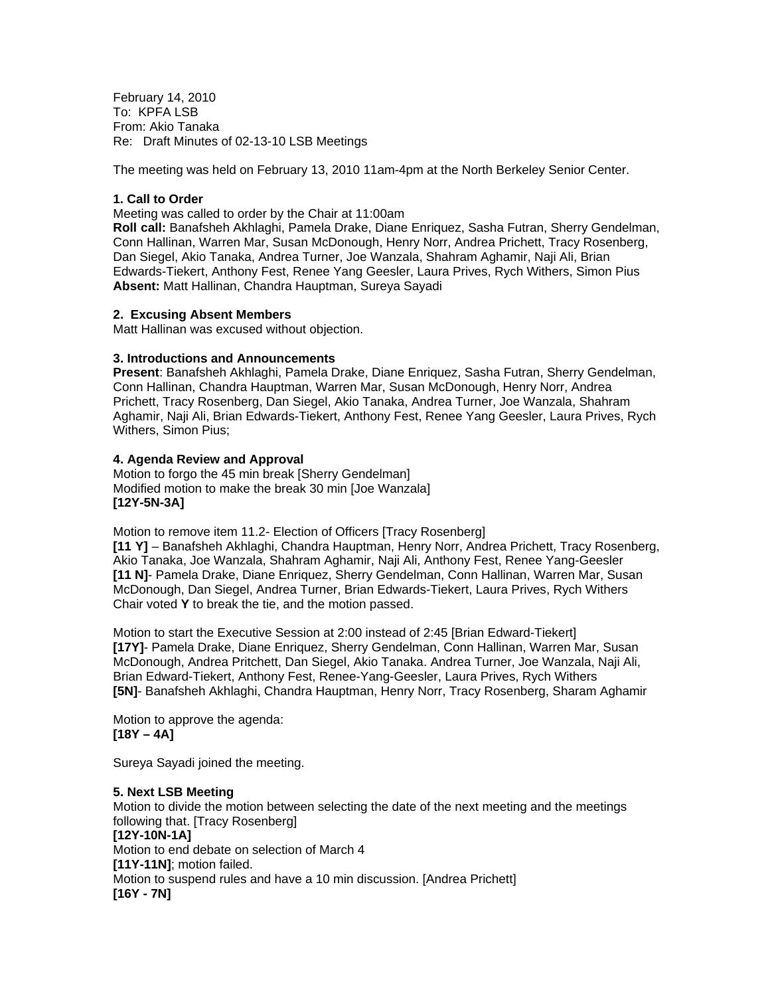February 14, 2010 To: KPFA LSB From: Akio Tanaka Re: Draft Minutes of 02-13-10 LSB Meetings

The meeting was held on February 13, 2010 11am-4pm at the North Berkeley Senior Center.

#### **1. Call to Order**

Meeting was called to order by the Chair at 11:00am

**Roll call:** Banafsheh Akhlaghi, Pamela Drake, Diane Enriquez, Sasha Futran, Sherry Gendelman, Conn Hallinan, Warren Mar, Susan McDonough, Henry Norr, Andrea Prichett, Tracy Rosenberg, Dan Siegel, Akio Tanaka, Andrea Turner, Joe Wanzala, Shahram Aghamir, Naji Ali, Brian Edwards-Tiekert, Anthony Fest, Renee Yang Geesler, Laura Prives, Rych Withers, Simon Pius **Absent:** Matt Hallinan, Chandra Hauptman, Sureya Sayadi

#### **2. Excusing Absent Members**

Matt Hallinan was excused without objection.

#### **3. Introductions and Announcements**

**Present**: Banafsheh Akhlaghi, Pamela Drake, Diane Enriquez, Sasha Futran, Sherry Gendelman, Conn Hallinan, Chandra Hauptman, Warren Mar, Susan McDonough, Henry Norr, Andrea Prichett, Tracy Rosenberg, Dan Siegel, Akio Tanaka, Andrea Turner, Joe Wanzala, Shahram Aghamir, Naji Ali, Brian Edwards-Tiekert, Anthony Fest, Renee Yang Geesler, Laura Prives, Rych Withers, Simon Pius;

#### **4. Agenda Review and Approval**

Motion to forgo the 45 min break [Sherry Gendelman] Modified motion to make the break 30 min [Joe Wanzala] **[12Y-5N-3A]** 

Motion to remove item 11.2- Election of Officers [Tracy Rosenberg]

**[11 Y]** – Banafsheh Akhlaghi, Chandra Hauptman, Henry Norr, Andrea Prichett, Tracy Rosenberg, Akio Tanaka, Joe Wanzala, Shahram Aghamir, Naji Ali, Anthony Fest, Renee Yang-Geesler **[11 N]**- Pamela Drake, Diane Enriquez, Sherry Gendelman, Conn Hallinan, Warren Mar, Susan McDonough, Dan Siegel, Andrea Turner, Brian Edwards-Tiekert, Laura Prives, Rych Withers Chair voted **Y** to break the tie, and the motion passed.

Motion to start the Executive Session at 2:00 instead of 2:45 [Brian Edward-Tiekert] **[17Y]**- Pamela Drake, Diane Enriquez, Sherry Gendelman, Conn Hallinan, Warren Mar, Susan McDonough, Andrea Pritchett, Dan Siegel, Akio Tanaka. Andrea Turner, Joe Wanzala, Naji Ali, Brian Edward-Tiekert, Anthony Fest, Renee-Yang-Geesler, Laura Prives, Rych Withers **[5N]**- Banafsheh Akhlaghi, Chandra Hauptman, Henry Norr, Tracy Rosenberg, Sharam Aghamir

Motion to approve the agenda: **[18Y – 4A]** 

Sureya Sayadi joined the meeting.

## **5. Next LSB Meeting**

Motion to divide the motion between selecting the date of the next meeting and the meetings following that. [Tracy Rosenberg] **[12Y-10N-1A]**  Motion to end debate on selection of March 4 **[11Y-11N]**; motion failed. Motion to suspend rules and have a 10 min discussion. [Andrea Prichett] **[16Y - 7N]**